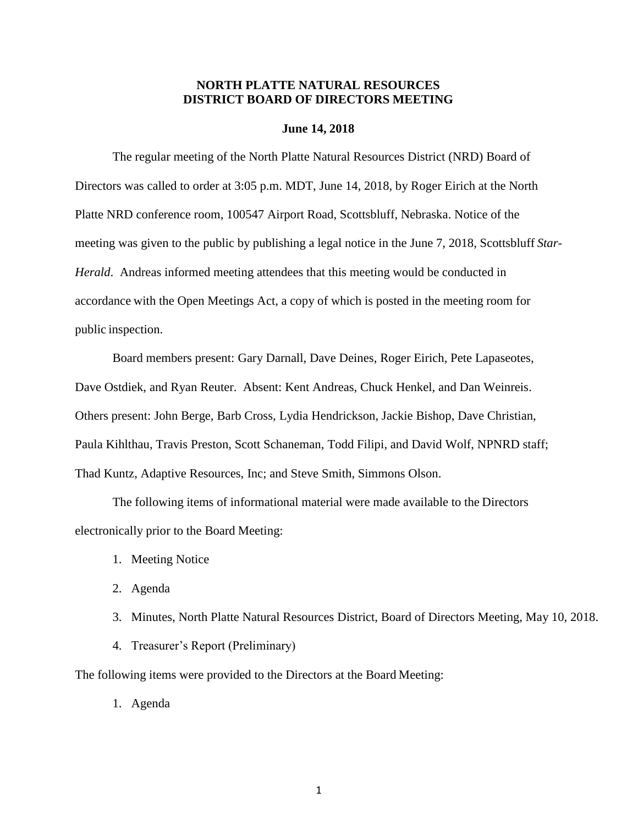# **NORTH PLATTE NATURAL RESOURCES DISTRICT BOARD OF DIRECTORS MEETING**

## **June 14, 2018**

The regular meeting of the North Platte Natural Resources District (NRD) Board of Directors was called to order at 3:05 p.m. MDT, June 14, 2018, by Roger Eirich at the North Platte NRD conference room, 100547 Airport Road, Scottsbluff, Nebraska. Notice of the meeting was given to the public by publishing a legal notice in the June 7, 2018, Scottsbluff *Star-Herald*. Andreas informed meeting attendees that this meeting would be conducted in accordance with the Open Meetings Act, a copy of which is posted in the meeting room for public inspection.

Board members present: Gary Darnall, Dave Deines, Roger Eirich, Pete Lapaseotes, Dave Ostdiek, and Ryan Reuter. Absent: Kent Andreas, Chuck Henkel, and Dan Weinreis. Others present: John Berge, Barb Cross, Lydia Hendrickson, Jackie Bishop, Dave Christian, Paula Kihlthau, Travis Preston, Scott Schaneman, Todd Filipi, and David Wolf, NPNRD staff; Thad Kuntz, Adaptive Resources, Inc; and Steve Smith, Simmons Olson.

The following items of informational material were made available to the Directors electronically prior to the Board Meeting:

- 1. Meeting Notice
- 2. Agenda
- 3. Minutes, North Platte Natural Resources District, Board of Directors Meeting, May 10, 2018.
- 4. Treasurer's Report (Preliminary)

The following items were provided to the Directors at the Board Meeting:

1. Agenda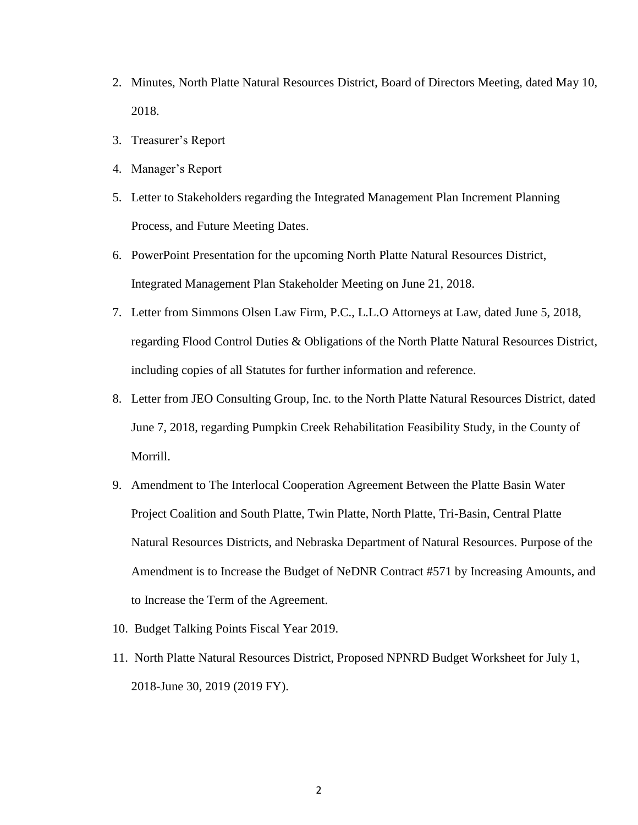- 2. Minutes, North Platte Natural Resources District, Board of Directors Meeting, dated May 10, 2018.
- 3. Treasurer's Report
- 4. Manager's Report
- 5. Letter to Stakeholders regarding the Integrated Management Plan Increment Planning Process, and Future Meeting Dates.
- 6. PowerPoint Presentation for the upcoming North Platte Natural Resources District, Integrated Management Plan Stakeholder Meeting on June 21, 2018.
- 7. Letter from Simmons Olsen Law Firm, P.C., L.L.O Attorneys at Law, dated June 5, 2018, regarding Flood Control Duties & Obligations of the North Platte Natural Resources District, including copies of all Statutes for further information and reference.
- 8. Letter from JEO Consulting Group, Inc. to the North Platte Natural Resources District, dated June 7, 2018, regarding Pumpkin Creek Rehabilitation Feasibility Study, in the County of Morrill.
- 9. Amendment to The Interlocal Cooperation Agreement Between the Platte Basin Water Project Coalition and South Platte, Twin Platte, North Platte, Tri-Basin, Central Platte Natural Resources Districts, and Nebraska Department of Natural Resources. Purpose of the Amendment is to Increase the Budget of NeDNR Contract #571 by Increasing Amounts, and to Increase the Term of the Agreement.
- 10. Budget Talking Points Fiscal Year 2019.
- 11. North Platte Natural Resources District, Proposed NPNRD Budget Worksheet for July 1, 2018-June 30, 2019 (2019 FY).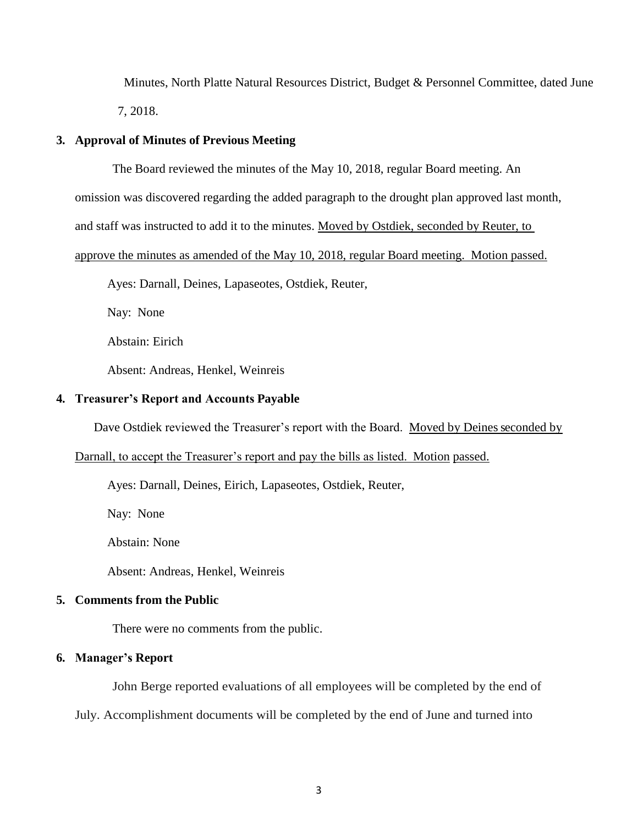Minutes, North Platte Natural Resources District, Budget & Personnel Committee, dated June 7, 2018.

# **3. Approval of Minutes of Previous Meeting**

The Board reviewed the minutes of the May 10, 2018, regular Board meeting. An

omission was discovered regarding the added paragraph to the drought plan approved last month,

and staff was instructed to add it to the minutes. Moved by Ostdiek, seconded by Reuter, to

approve the minutes as amended of the May 10, 2018, regular Board meeting. Motion passed.

Ayes: Darnall, Deines, Lapaseotes, Ostdiek, Reuter,

Nay: None

Abstain: Eirich

Absent: Andreas, Henkel, Weinreis

# **4. Treasurer's Report and Accounts Payable**

Dave Ostdiek reviewed the Treasurer's report with the Board. Moved by Deines seconded by

Darnall, to accept the Treasurer's report and pay the bills as listed. Motion passed.

Ayes: Darnall, Deines, Eirich, Lapaseotes, Ostdiek, Reuter,

Nay: None

Abstain: None

Absent: Andreas, Henkel, Weinreis

## **5. Comments from the Public**

There were no comments from the public.

# **6. Manager's Report**

John Berge reported evaluations of all employees will be completed by the end of

July. Accomplishment documents will be completed by the end of June and turned into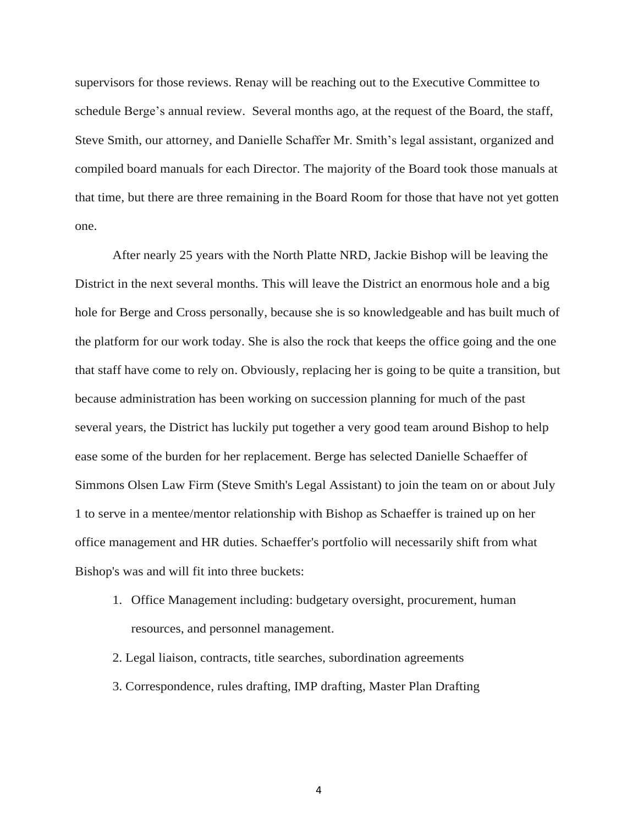supervisors for those reviews. Renay will be reaching out to the Executive Committee to schedule Berge's annual review. Several months ago, at the request of the Board, the staff, Steve Smith, our attorney, and Danielle Schaffer Mr. Smith's legal assistant, organized and compiled board manuals for each Director. The majority of the Board took those manuals at that time, but there are three remaining in the Board Room for those that have not yet gotten one.

After nearly 25 years with the North Platte NRD, Jackie Bishop will be leaving the District in the next several months. This will leave the District an enormous hole and a big hole for Berge and Cross personally, because she is so knowledgeable and has built much of the platform for our work today. She is also the rock that keeps the office going and the one that staff have come to rely on. Obviously, replacing her is going to be quite a transition, but because administration has been working on succession planning for much of the past several years, the District has luckily put together a very good team around Bishop to help ease some of the burden for her replacement. Berge has selected Danielle Schaeffer of Simmons Olsen Law Firm (Steve Smith's Legal Assistant) to join the team on or about July 1 to serve in a mentee/mentor relationship with Bishop as Schaeffer is trained up on her office management and HR duties. Schaeffer's portfolio will necessarily shift from what Bishop's was and will fit into three buckets:

- 1. Office Management including: budgetary oversight, procurement, human resources, and personnel management.
- 2. Legal liaison, contracts, title searches, subordination agreements
- 3. Correspondence, rules drafting, IMP drafting, Master Plan Drafting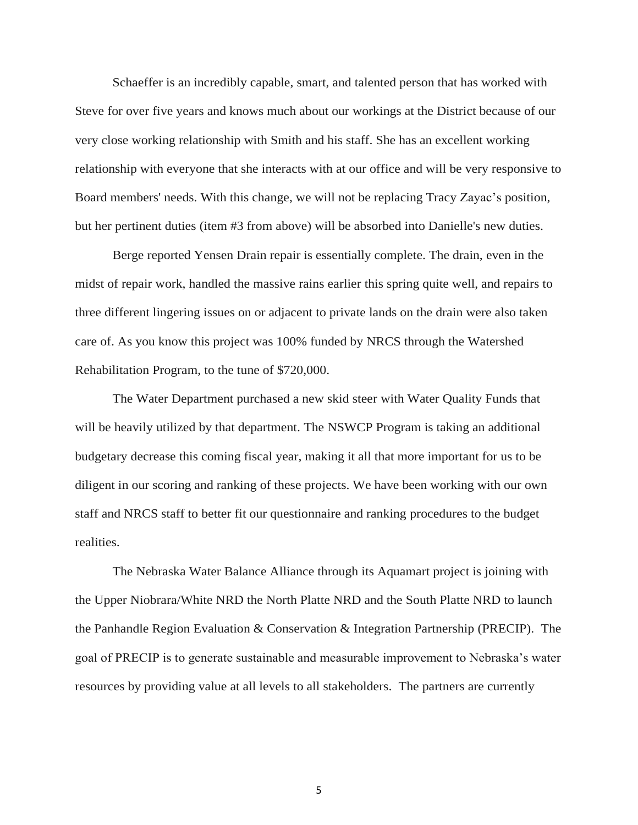Schaeffer is an incredibly capable, smart, and talented person that has worked with Steve for over five years and knows much about our workings at the District because of our very close working relationship with Smith and his staff. She has an excellent working relationship with everyone that she interacts with at our office and will be very responsive to Board members' needs. With this change, we will not be replacing Tracy Zayac's position, but her pertinent duties (item #3 from above) will be absorbed into Danielle's new duties.

Berge reported Yensen Drain repair is essentially complete. The drain, even in the midst of repair work, handled the massive rains earlier this spring quite well, and repairs to three different lingering issues on or adjacent to private lands on the drain were also taken care of. As you know this project was 100% funded by NRCS through the Watershed Rehabilitation Program, to the tune of \$720,000.

The Water Department purchased a new skid steer with Water Quality Funds that will be heavily utilized by that department. The NSWCP Program is taking an additional budgetary decrease this coming fiscal year, making it all that more important for us to be diligent in our scoring and ranking of these projects. We have been working with our own staff and NRCS staff to better fit our questionnaire and ranking procedures to the budget realities.

The Nebraska Water Balance Alliance through its Aquamart project is joining with the Upper Niobrara/White NRD the North Platte NRD and the South Platte NRD to launch the Panhandle Region Evaluation & Conservation & Integration Partnership (PRECIP). The goal of PRECIP is to generate sustainable and measurable improvement to Nebraska's water resources by providing value at all levels to all stakeholders. The partners are currently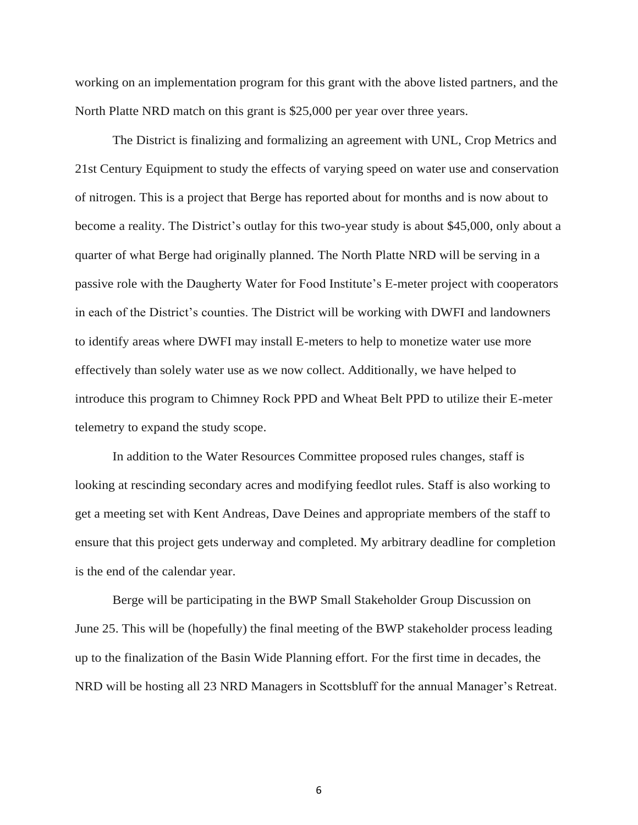working on an implementation program for this grant with the above listed partners, and the North Platte NRD match on this grant is \$25,000 per year over three years.

The District is finalizing and formalizing an agreement with UNL, Crop Metrics and 21st Century Equipment to study the effects of varying speed on water use and conservation of nitrogen. This is a project that Berge has reported about for months and is now about to become a reality. The District's outlay for this two-year study is about \$45,000, only about a quarter of what Berge had originally planned. The North Platte NRD will be serving in a passive role with the Daugherty Water for Food Institute's E-meter project with cooperators in each of the District's counties. The District will be working with DWFI and landowners to identify areas where DWFI may install E-meters to help to monetize water use more effectively than solely water use as we now collect. Additionally, we have helped to introduce this program to Chimney Rock PPD and Wheat Belt PPD to utilize their E-meter telemetry to expand the study scope.

In addition to the Water Resources Committee proposed rules changes, staff is looking at rescinding secondary acres and modifying feedlot rules. Staff is also working to get a meeting set with Kent Andreas, Dave Deines and appropriate members of the staff to ensure that this project gets underway and completed. My arbitrary deadline for completion is the end of the calendar year.

Berge will be participating in the BWP Small Stakeholder Group Discussion on June 25. This will be (hopefully) the final meeting of the BWP stakeholder process leading up to the finalization of the Basin Wide Planning effort. For the first time in decades, the NRD will be hosting all 23 NRD Managers in Scottsbluff for the annual Manager's Retreat.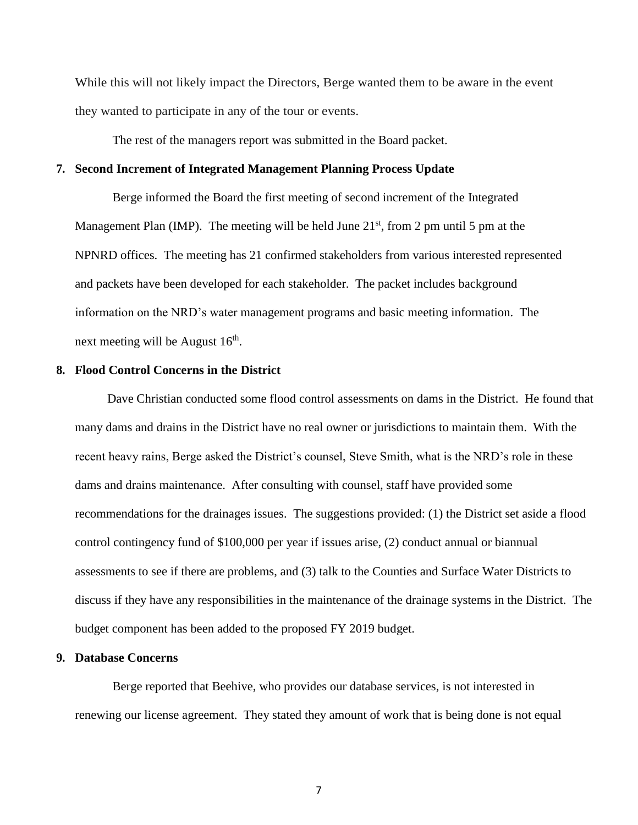While this will not likely impact the Directors, Berge wanted them to be aware in the event they wanted to participate in any of the tour or events.

The rest of the managers report was submitted in the Board packet.

# **7. Second Increment of Integrated Management Planning Process Update**

Berge informed the Board the first meeting of second increment of the Integrated Management Plan (IMP). The meeting will be held June  $21<sup>st</sup>$ , from 2 pm until 5 pm at the NPNRD offices. The meeting has 21 confirmed stakeholders from various interested represented and packets have been developed for each stakeholder. The packet includes background information on the NRD's water management programs and basic meeting information. The next meeting will be August  $16<sup>th</sup>$ .

### **8. Flood Control Concerns in the District**

Dave Christian conducted some flood control assessments on dams in the District. He found that many dams and drains in the District have no real owner or jurisdictions to maintain them. With the recent heavy rains, Berge asked the District's counsel, Steve Smith, what is the NRD's role in these dams and drains maintenance. After consulting with counsel, staff have provided some recommendations for the drainages issues. The suggestions provided: (1) the District set aside a flood control contingency fund of \$100,000 per year if issues arise, (2) conduct annual or biannual assessments to see if there are problems, and (3) talk to the Counties and Surface Water Districts to discuss if they have any responsibilities in the maintenance of the drainage systems in the District. The budget component has been added to the proposed FY 2019 budget.

# **9. Database Concerns**

Berge reported that Beehive, who provides our database services, is not interested in renewing our license agreement. They stated they amount of work that is being done is not equal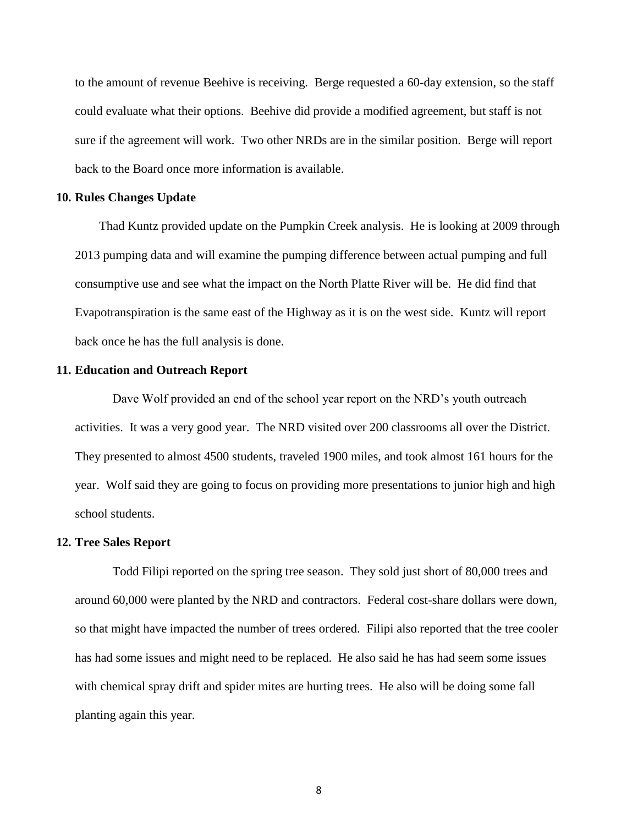to the amount of revenue Beehive is receiving. Berge requested a 60-day extension, so the staff could evaluate what their options. Beehive did provide a modified agreement, but staff is not sure if the agreement will work. Two other NRDs are in the similar position. Berge will report back to the Board once more information is available.

#### **10. Rules Changes Update**

Thad Kuntz provided update on the Pumpkin Creek analysis. He is looking at 2009 through 2013 pumping data and will examine the pumping difference between actual pumping and full consumptive use and see what the impact on the North Platte River will be. He did find that Evapotranspiration is the same east of the Highway as it is on the west side. Kuntz will report back once he has the full analysis is done.

#### **11. Education and Outreach Report**

Dave Wolf provided an end of the school year report on the NRD's youth outreach activities. It was a very good year. The NRD visited over 200 classrooms all over the District. They presented to almost 4500 students, traveled 1900 miles, and took almost 161 hours for the year. Wolf said they are going to focus on providing more presentations to junior high and high school students.

#### **12. Tree Sales Report**

Todd Filipi reported on the spring tree season. They sold just short of 80,000 trees and around 60,000 were planted by the NRD and contractors. Federal cost-share dollars were down, so that might have impacted the number of trees ordered. Filipi also reported that the tree cooler has had some issues and might need to be replaced. He also said he has had seem some issues with chemical spray drift and spider mites are hurting trees. He also will be doing some fall planting again this year.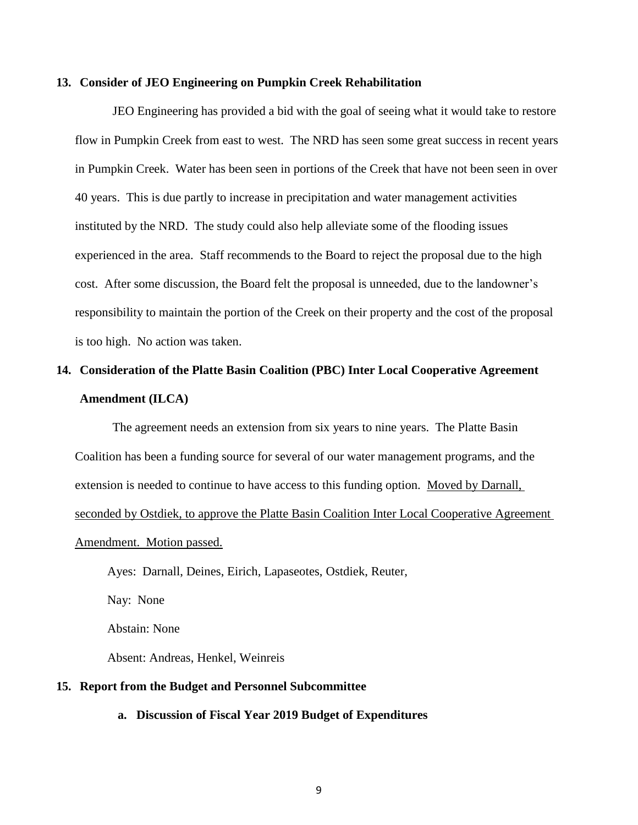#### **13. Consider of JEO Engineering on Pumpkin Creek Rehabilitation**

JEO Engineering has provided a bid with the goal of seeing what it would take to restore flow in Pumpkin Creek from east to west. The NRD has seen some great success in recent years in Pumpkin Creek. Water has been seen in portions of the Creek that have not been seen in over 40 years. This is due partly to increase in precipitation and water management activities instituted by the NRD. The study could also help alleviate some of the flooding issues experienced in the area. Staff recommends to the Board to reject the proposal due to the high cost. After some discussion, the Board felt the proposal is unneeded, due to the landowner's responsibility to maintain the portion of the Creek on their property and the cost of the proposal is too high. No action was taken.

# **14. Consideration of the Platte Basin Coalition (PBC) Inter Local Cooperative Agreement Amendment (ILCA)**

The agreement needs an extension from six years to nine years. The Platte Basin Coalition has been a funding source for several of our water management programs, and the extension is needed to continue to have access to this funding option. Moved by Darnall, seconded by Ostdiek, to approve the Platte Basin Coalition Inter Local Cooperative Agreement Amendment. Motion passed.

Ayes: Darnall, Deines, Eirich, Lapaseotes, Ostdiek, Reuter, Nay: None Abstain: None

# **15. Report from the Budget and Personnel Subcommittee**

Absent: Andreas, Henkel, Weinreis

**a. Discussion of Fiscal Year 2019 Budget of Expenditures**